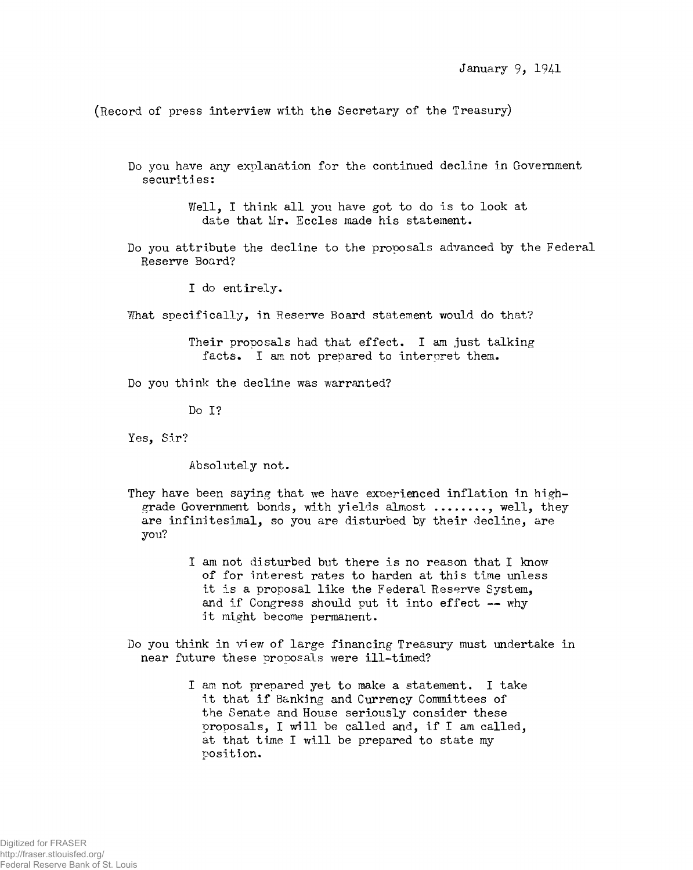(Record of press interview with the Secretary of the Treasury)

Do you have any explanation for the continued decline in Government securities:

> Well, I think all you have got to do is to look at date that Mr. Eccles made his statement.

Do you attribute the decline to the proposals advanced by the Federal Reserve Board?

I do entirely.

What specifically, in Reserve Board statement would do that?

Their proposals had that effect. I am just talking facts. I am not prepared to interpret them.

Do you think the decline was warranted?

Do I?

Yes, Sir?

Absolutely not.

They have been saying that we have experienced inflation in highgrade Government bonds, with yields almost ......., well, they are infinitesimal, so you are disturbed by their decline, are you?

> I am not disturbed but there is no reason that I know of for interest rates to harden at this time unless it is a proposal like the Federal Reserve System, and if Congress should put it into effect — why it might become permanent.

Do you think in view of large financing Treasury must undertake in near future these proposals were ill-timed?

> I am not prepared yet to make a statement. I take it that if Banking and Currency Committees of the Senate and House seriously consider these proposals, I will be called and, if I am called, at that time I will be prepared to state my position.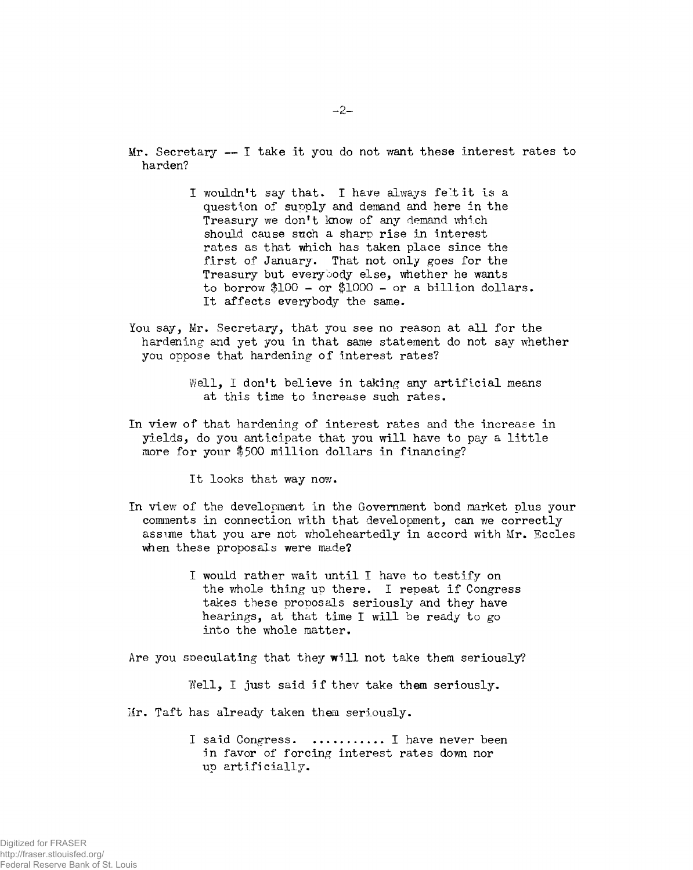$Mr.$  Secretary  $-F$  take it you do not want these interest rates to harden?

- I wouldn't say that. I have always feltit is a question of supply and demand and here In the Treasury we don't know of any demand which should cause such a sharp rise in interest rates as that which has taken place since the first of January. That not only goes for the Treasury but everybody else, whether he wants to borrow \$100 - or \$1000 - or a billion dollars. It affects everybody the same.
- You say, Mr. Secretary, that you see no reason at all for the hardening and yet you in that same statement do not say whether you oppose that hardening of interest rates?

Well, I don't believe in taking any artificial means at this time to increase such rates.

In view of that hardening of interest rates and the increase in yields, do you anticipate that you will have to pay a little more for your \$500 million dollars in financing?

It looks that way now.

- In view of the development In the Government bond market plus your comments in connection with that development, can we correctly assime that you are not wholeheartedly in accord with Mr. Secies when these proposals were made?
	- I would rather wait until I have to testify on the whole thing up there. I repeat if Congress takes these proposals seriously and they have hearings, at that time I will be ready to go into the whole matter.

Are you speculating that they will not take them seriously?

Well, I just said if they take them seriously.

Mr. Taft has already taken them seriously.

I said Congress. ........... I have never been in favor of forcing Interest rates down nor up artificially.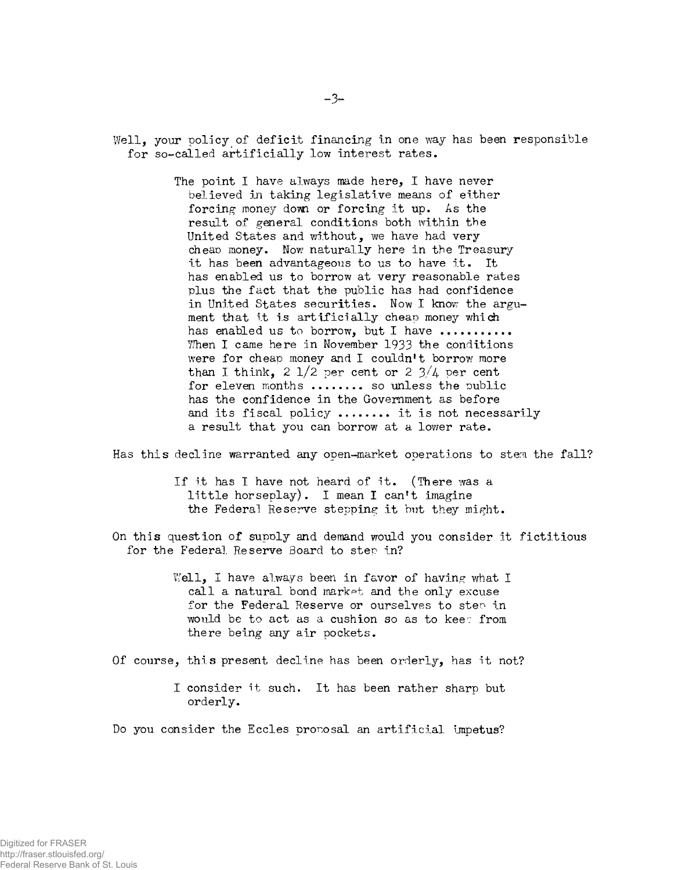Well, your policy of deficit financing in one way has been responsible for so-called artificially low interest rates.

> The point I have always made here, I have never believed in taking legislative means of either forcing money down or forcing it up. As the result of general conditions both within the United States and without, we have had very cheap money. Now naturally here in the Treasury it has been advantageous to us to have it. It has enabled us to borrow at very reasonable rates plus the fact that the public has had confidence in United States securities. Now I know the argument that it is artificially cheap money which has enabled us to borrow, but I have .......... When I came here in November 1933 the conditions were for cheap money and I couldn't borrow more than I think,  $2 \frac{1}{2}$  per cent or  $2 \frac{3}{4}$  per cent for eleven months ........ so unless the public has the confidence in the Government as before and its fiscal policy ........ it is not necessarily a result that you can borrow at a lower rate.

Has this decline warranted any open-market operations to stern the fall?

If it has I have not heard of it. (There was a little horseplay). I mean I can't imagine the Federal Reserve stepping it but they might.

On this question of supply and demand would you consider it fictitious for the Federal Reserve Board to step in?

> Well, I have always been in favor of having what I call a natural bond market and the only excuse for the Federal Reserve or ourselves to step in would be to act as a cushion so as to kee: from there being any air pockets.

Of course, this present decline has been orderly, has it not?

I consider it such. It has been rather sharp but orderly.

Do you consider the Eccles proposal an artificial impetus?